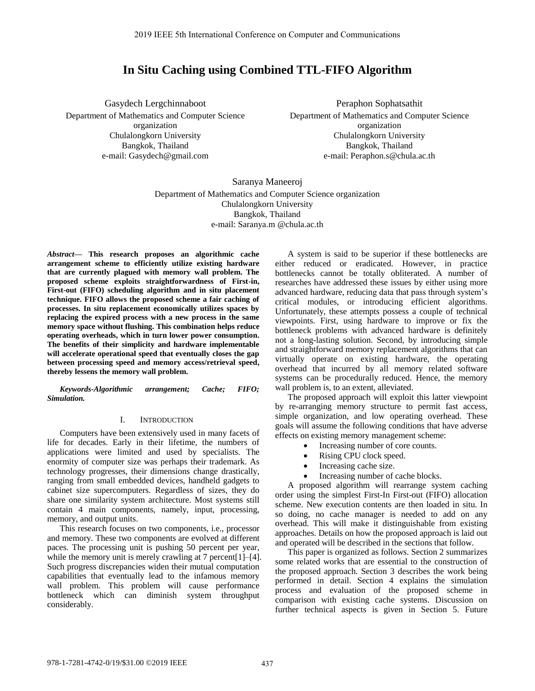# **In Situ Caching using Combined TTL-FIFO Algorithm**

Gasydech Lergchinnaboot Department of Mathematics and Computer Science organization Chulalongkorn University Bangkok, Thailand e-mail: Gasydech@gmail.com

Peraphon Sophatsathit Department of Mathematics and Computer Science organization Chulalongkorn University Bangkok, Thailand e-mail: Peraphon.s@chula.ac.th

Saranya Maneeroj Department of Mathematics and Computer Science organization Chulalongkorn University Bangkok, Thailand e-mail: Saranya.m @chula.ac.th

*Abstract***— This research proposes an algorithmic cache arrangement scheme to efficiently utilize existing hardware that are currently plagued with memory wall problem. The proposed scheme exploits straightforwardness of First-in, First-out (FIFO) scheduling algorithm and in situ placement technique. FIFO allows the proposed scheme a fair caching of processes. In situ replacement economically utilizes spaces by replacing the expired process with a new process in the same memory space without flushing. This combination helps reduce operating overheads, which in turn lower power consumption. The benefits of their simplicity and hardware implementable will accelerate operational speed that eventually closes the gap between processing speed and memory access/retrieval speed, thereby lessens the memory wall problem.** 

*Keywords-Algorithmic arrangement; Cache; FIFO; Simulation.* 

#### I. INTRODUCTION

Computers have been extensively used in many facets of life for decades. Early in their lifetime, the numbers of applications were limited and used by specialists. The enormity of computer size was perhaps their trademark. As technology progresses, their dimensions change drastically, ranging from small embedded devices, handheld gadgets to cabinet size supercomputers. Regardless of sizes, they do share one similarity system architecture. Most systems still contain 4 main components, namely, input, processing, memory, and output units.

This research focuses on two components, i.e., processor and memory. These two components are evolved at different paces. The processing unit is pushing 50 percent per year, while the memory unit is merely crawling at 7 percent [1]–[4]. Such progress discrepancies widen their mutual computation capabilities that eventually lead to the infamous memory wall problem. This problem will cause performance bottleneck which can diminish system throughput considerably.

A system is said to be superior if these bottlenecks are either reduced or eradicated. However, in practice bottlenecks cannot be totally obliterated. A number of researches have addressed these issues by either using more advanced hardware, reducing data that pass through system's critical modules, or introducing efficient algorithms. Unfortunately, these attempts possess a couple of technical viewpoints. First, using hardware to improve or fix the bottleneck problems with advanced hardware is definitely not a long-lasting solution. Second, by introducing simple and straightforward memory replacement algorithms that can virtually operate on existing hardware, the operating overhead that incurred by all memory related software systems can be procedurally reduced. Hence, the memory wall problem is, to an extent, alleviated.

The proposed approach will exploit this latter viewpoint by re-arranging memory structure to permit fast access, simple organization, and low operating overhead. These goals will assume the following conditions that have adverse effects on existing memory management scheme:

- Increasing number of core counts.
- Rising CPU clock speed.
- Increasing cache size.
- Increasing number of cache blocks.

A proposed algorithm will rearrange system caching order using the simplest First-In First-out (FIFO) allocation scheme. New execution contents are then loaded in situ. In so doing, no cache manager is needed to add on any overhead. This will make it distinguishable from existing approaches. Details on how the proposed approach is laid out and operated will be described in the sections that follow.

This paper is organized as follows. Section 2 summarizes some related works that are essential to the construction of the proposed approach. Section 3 describes the work being performed in detail. Section 4 explains the simulation process and evaluation of the proposed scheme in comparison with existing cache systems. Discussion on further technical aspects is given in Section 5. Future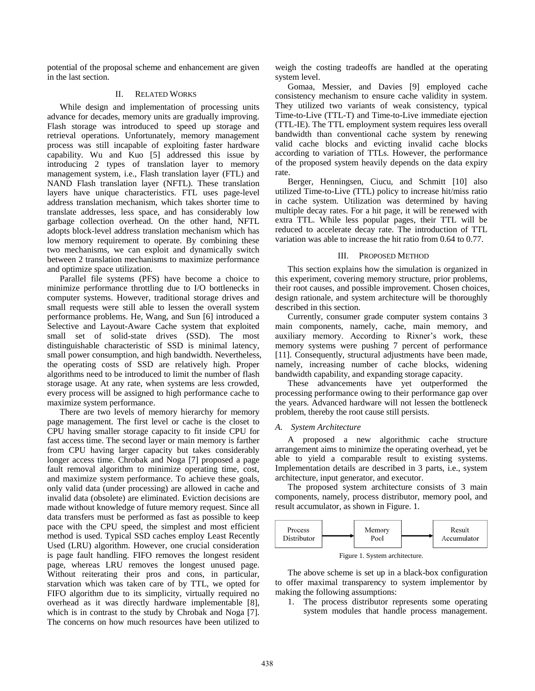potential of the proposal scheme and enhancement are given in the last section.

# II. RELATED WORKS

While design and implementation of processing units advance for decades, memory units are gradually improving. Flash storage was introduced to speed up storage and retrieval operations. Unfortunately, memory management process was still incapable of exploiting faster hardware capability. Wu and Kuo [5] addressed this issue by introducing 2 types of translation layer to memory management system, i.e., Flash translation layer (FTL) and NAND Flash translation layer (NFTL). These translation layers have unique characteristics. FTL uses page-level address translation mechanism, which takes shorter time to translate addresses, less space, and has considerably low garbage collection overhead. On the other hand, NFTL adopts block-level address translation mechanism which has low memory requirement to operate. By combining these two mechanisms, we can exploit and dynamically switch between 2 translation mechanisms to maximize performance and optimize space utilization.

Parallel file systems (PFS) have become a choice to minimize performance throttling due to I/O bottlenecks in computer systems. However, traditional storage drives and small requests were still able to lessen the overall system performance problems. He, Wang, and Sun [6] introduced a Selective and Layout-Aware Cache system that exploited small set of solid-state drives (SSD). The most distinguishable characteristic of SSD is minimal latency, small power consumption, and high bandwidth. Nevertheless, the operating costs of SSD are relatively high. Proper algorithms need to be introduced to limit the number of flash storage usage. At any rate, when systems are less crowded, every process will be assigned to high performance cache to maximize system performance.

There are two levels of memory hierarchy for memory page management. The first level or cache is the closet to CPU having smaller storage capacity to fit inside CPU for fast access time. The second layer or main memory is farther from CPU having larger capacity but takes considerably longer access time. Chrobak and Noga [7] proposed a page fault removal algorithm to minimize operating time, cost, and maximize system performance. To achieve these goals, only valid data (under processing) are allowed in cache and invalid data (obsolete) are eliminated. Eviction decisions are made without knowledge of future memory request. Since all data transfers must be performed as fast as possible to keep pace with the CPU speed, the simplest and most efficient method is used. Typical SSD caches employ Least Recently Used (LRU) algorithm. However, one crucial consideration is page fault handling. FIFO removes the longest resident page, whereas LRU removes the longest unused page. Without reiterating their pros and cons, in particular, starvation which was taken care of by TTL, we opted for FIFO algorithm due to its simplicity, virtually required no overhead as it was directly hardware implementable [8], which is in contrast to the study by Chrobak and Noga [7]. The concerns on how much resources have been utilized to

weigh the costing tradeoffs are handled at the operating system level.

Gomaa, Messier, and Davies [9] employed cache consistency mechanism to ensure cache validity in system. They utilized two variants of weak consistency, typical Time-to-Live (TTL-T) and Time-to-Live immediate ejection (TTL-IE). The TTL employment system requires less overall bandwidth than conventional cache system by renewing valid cache blocks and evicting invalid cache blocks according to variation of TTLs. However, the performance of the proposed system heavily depends on the data expiry rate.

Berger, Henningsen, Ciucu, and Schmitt [10] also utilized Time-to-Live (TTL) policy to increase hit/miss ratio in cache system. Utilization was determined by having multiple decay rates. For a hit page, it will be renewed with extra TTL. While less popular pages, their TTL will be reduced to accelerate decay rate. The introduction of TTL variation was able to increase the hit ratio from 0.64 to 0.77.

# III. PROPOSED METHOD

This section explains how the simulation is organized in this experiment, covering memory structure, prior problems, their root causes, and possible improvement. Chosen choices, design rationale, and system architecture will be thoroughly described in this section.

Currently, consumer grade computer system contains 3 main components, namely, cache, main memory, and auxiliary memory. According to Rixner's work, these memory systems were pushing 7 percent of performance [11]. Consequently, structural adjustments have been made, namely, increasing number of cache blocks, widening bandwidth capability, and expanding storage capacity.

These advancements have yet outperformed the processing performance owing to their performance gap over the years. Advanced hardware will not lessen the bottleneck problem, thereby the root cause still persists.

#### *A. System Architecture*

A proposed a new algorithmic cache structure arrangement aims to minimize the operating overhead, yet be able to yield a comparable result to existing systems. Implementation details are described in 3 parts, i.e., system architecture, input generator, and executor.

The proposed system architecture consists of 3 main components, namely, process distributor, memory pool, and result accumulator, as shown in Figure. 1.



Figure 1. System architecture.

The above scheme is set up in a black-box configuration to offer maximal transparency to system implementor by making the following assumptions:

1. The process distributor represents some operating system modules that handle process management.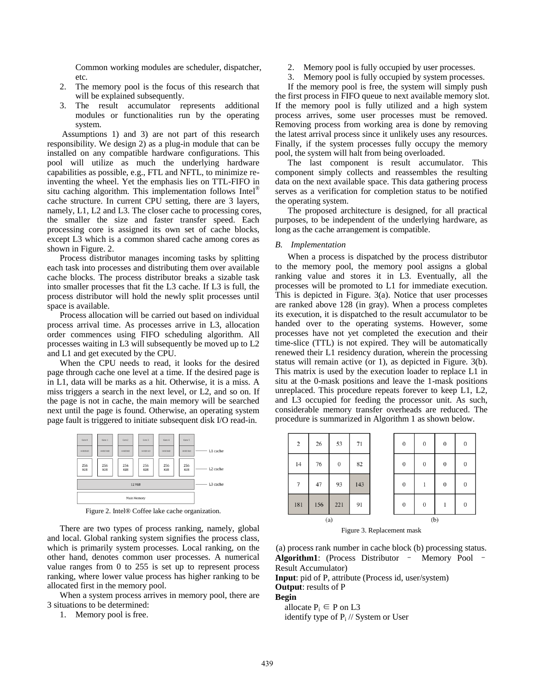Common working modules are scheduler, dispatcher, etc.

- 2. The memory pool is the focus of this research that will be explained subsequently.
- 3. The result accumulator represents additional modules or functionalities run by the operating system.

 Assumptions 1) and 3) are not part of this research responsibility. We design 2) as a plug-in module that can be installed on any compatible hardware configurations. This pool will utilize as much the underlying hardware capabilities as possible, e.g., FTL and NFTL, to minimize reinventing the wheel. Yet the emphasis lies on TTL-FIFO in situ caching algorithm. This implementation follows Intel<sup>®</sup> cache structure. In current CPU setting, there are 3 layers, namely, L1, L2 and L3. The closer cache to processing cores, the smaller the size and faster transfer speed. Each processing core is assigned its own set of cache blocks, except L3 which is a common shared cache among cores as shown in Figure. 2.

Process distributor manages incoming tasks by splitting each task into processes and distributing them over available cache blocks. The process distributor breaks a sizable task into smaller processes that fit the L3 cache. If L3 is full, the process distributor will hold the newly split processes until space is available.

Process allocation will be carried out based on individual process arrival time. As processes arrive in L3, allocation order commences using FIFO scheduling algorithm. All processes waiting in L3 will subsequently be moved up to L2 and L1 and get executed by the CPU.

When the CPU needs to read, it looks for the desired page through cache one level at a time. If the desired page is in L1, data will be marks as a hit. Otherwise, it is a miss. A miss triggers a search in the next level, or L2, and so on. If the page is not in cache, the main memory will be searched next until the page is found. Otherwise, an operating system page fault is triggered to initiate subsequent disk I/O read-in.



Figure 2. Intel® Coffee lake cache organization.

There are two types of process ranking, namely, global and local. Global ranking system signifies the process class, which is primarily system processes. Local ranking, on the other hand, denotes common user processes. A numerical value ranges from 0 to 255 is set up to represent process ranking, where lower value process has higher ranking to be allocated first in the memory pool.

When a system process arrives in memory pool, there are 3 situations to be determined:

1. Memory pool is free.

- 2. Memory pool is fully occupied by user processes.
- 3. Memory pool is fully occupied by system processes.

If the memory pool is free, the system will simply push the first process in FIFO queue to next available memory slot. If the memory pool is fully utilized and a high system process arrives, some user processes must be removed. Removing process from working area is done by removing the latest arrival process since it unlikely uses any resources. Finally, if the system processes fully occupy the memory pool, the system will halt from being overloaded.

The last component is result accumulator. This component simply collects and reassembles the resulting data on the next available space. This data gathering process serves as a verification for completion status to be notified the operating system.

The proposed architecture is designed, for all practical purposes, to be independent of the underlying hardware, as long as the cache arrangement is compatible.

#### *B. Implementation*

When a process is dispatched by the process distributor to the memory pool, the memory pool assigns a global ranking value and stores it in L3. Eventually, all the processes will be promoted to L1 for immediate execution. This is depicted in Figure. 3(a). Notice that user processes are ranked above 128 (in gray). When a process completes its execution, it is dispatched to the result accumulator to be handed over to the operating systems. However, some processes have not yet completed the execution and their time-slice (TTL) is not expired. They will be automatically renewed their L1 residency duration, wherein the processing status will remain active (or 1), as depicted in Figure. 3(b). This matrix is used by the execution loader to replace L1 in situ at the 0-mask positions and leave the 1-mask positions unreplaced. This procedure repeats forever to keep L1, L2, and L3 occupied for feeding the processor unit. As such, considerable memory transfer overheads are reduced. The procedure is summarized in Algorithm 1 as shown below.



Figure 3. Replacement mask

(a) process rank number in cache block (b) processing status. **Algorithm1**: (Process Distributor – Memory Pool – Result Accumulator)

**Input**: pid of P, attribute (Process id, user/system) **Output**: results of P

#### **Begin**

allocate  $P_i \in P$  on L3

identify type of  $P_i$  // System or User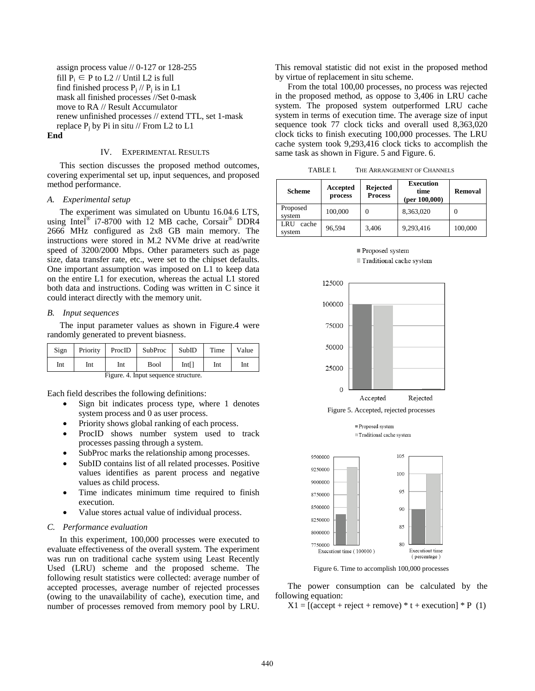assign process value // 0-127 or 128-255 fill  $P_i \in P$  to L2 // Until L2 is full find finished process  $P_j$  //  $P_j$  is in L1 mask all finished processes //Set 0-mask move to RA // Result Accumulator renew unfinished processes // extend TTL, set 1-mask replace  $P_j$  by Pi in situ // From L2 to L1

## **End**

## IV. EXPERIMENTAL RESULTS

This section discusses the proposed method outcomes, covering experimental set up, input sequences, and proposed method performance.

# *A. Experimental setup*

The experiment was simulated on Ubuntu 16.04.6 LTS, using Intel<sup>®</sup> i7-8700 with 12 MB cache, Corsair<sup>®</sup> DDR4 2666 MHz configured as 2x8 GB main memory. The instructions were stored in M.2 NVMe drive at read/write speed of 3200/2000 Mbps. Other parameters such as page size, data transfer rate, etc., were set to the chipset defaults. One important assumption was imposed on L1 to keep data on the entire L1 for execution, whereas the actual L1 stored both data and instructions. Coding was written in C since it could interact directly with the memory unit.

#### *B. Input sequences*

The input parameter values as shown in Figure.4 were randomly generated to prevent biasness.

| Sign                                 | Priority | ProcID | SubProc | SubID | Time | Value |
|--------------------------------------|----------|--------|---------|-------|------|-------|
| Int                                  | Int      | Int    | Bool    | Int[] | Int  | Int   |
| Figure. 4. Input sequence structure. |          |        |         |       |      |       |

Each field describes the following definitions:

- Sign bit indicates process type, where 1 denotes system process and 0 as user process.
- Priority shows global ranking of each process.
- ProcID shows number system used to track processes passing through a system.
- SubProc marks the relationship among processes.
- SubID contains list of all related processes. Positive values identifies as parent process and negative values as child process.
- Time indicates minimum time required to finish execution.
- Value stores actual value of individual process.

# *C. Performance evaluation*

In this experiment, 100,000 processes were executed to evaluate effectiveness of the overall system. The experiment was run on traditional cache system using Least Recently Used (LRU) scheme and the proposed scheme. The following result statistics were collected: average number of accepted processes, average number of rejected processes (owing to the unavailability of cache), execution time, and number of processes removed from memory pool by LRU.

This removal statistic did not exist in the proposed method by virtue of replacement in situ scheme.

From the total 100,00 processes, no process was rejected in the proposed method, as oppose to 3,406 in LRU cache system. The proposed system outperformed LRU cache system in terms of execution time. The average size of input sequence took 77 clock ticks and overall used 8,363,020 clock ticks to finish executing 100,000 processes. The LRU cache system took 9,293,416 clock ticks to accomplish the same task as shown in Figure. 5 and Figure. 6.

TABLE I. THE ARRANGEMENT OF CHANNELS

| <b>Scheme</b>          | Accepted<br>process | <b>Rejected</b><br><b>Process</b> | <b>Execution</b><br>time<br>(per $100,000$ ) | Removal  |
|------------------------|---------------------|-----------------------------------|----------------------------------------------|----------|
| Proposed<br>system     | 100,000             | $\Omega$                          | 8,363,020                                    | $\theta$ |
| LRU<br>cache<br>system | 96,594              | 3,406                             | 9,293,416                                    | 100,000  |







Figure 6. Time to accomplish 100,000 processes

The power consumption can be calculated by the following equation:

 $X1 = [(accept + reject + remove) * t + execution] * P (1)$